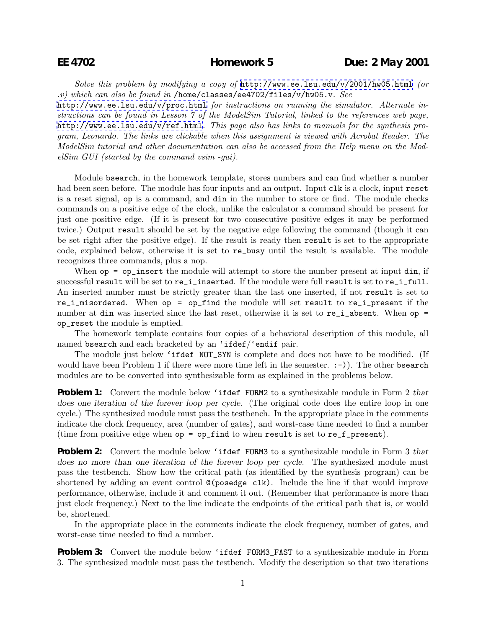*Solve this problem by modifying a copy of* <http://www.ee.lsu.edu/v/2001/hw05.html> *(or .v) which can also be found in* /home/classes/ee4702/files/v/hw05.v*. See*

<http://www.ee.lsu.edu/v/proc.html> *for instructions on running the simulator. Alternate instructions can be found in Lesson 7 of the ModelSim Tutorial, linked to the references web page,* <http://www.ee.lsu.edu/v/ref.html>*. This page also has links to manuals for the synthesis program, Leonardo. The links are clickable when this assignment is viewed with Acrobat Reader. The ModelSim tutorial and other documentation can also be accessed from the Help menu on the ModelSim GUI (started by the command vsim -gui).*

Module bsearch, in the homework template, stores numbers and can find whether a number had been seen before. The module has four inputs and an output. Input clk is a clock, input reset is a reset signal, op is a command, and din in the number to store or find. The module checks commands on a positive edge of the clock, unlike the calculator a command should be present for just one positive edge. (If it is present for two consecutive positive edges it may be performed twice.) Output result should be set by the negative edge following the command (though it can be set right after the positive edge). If the result is ready then result is set to the appropriate code, explained below, otherwise it is set to re\_busy until the result is available. The module recognizes three commands, plus a nop.

When  $op = op_insett$  the module will attempt to store the number present at input din, if successful result will be set to re\_i\_inserted. If the module were full result is set to re\_i\_full. An inserted number must be strictly greater than the last one inserted, if not result is set to re\_i\_misordered. When op = op\_find the module will set result to re\_i\_present if the number at din was inserted since the last reset, otherwise it is set to re\_i\_absent. When op = op\_reset the module is emptied.

The homework template contains four copies of a behavioral description of this module, all named bsearch and each bracketed by an 'ifdef/'endif pair.

The module just below 'ifdef NOT\_SYN is complete and does not have to be modified. (If would have been Problem 1 if there were more time left in the semester.  $:-)$ ). The other bsearch modules are to be converted into synthesizable form as explained in the problems below.

**Problem 1:** Convert the module below 'ifdef FORM2 to a synthesizable module in Form 2 *that does one iteration of the forever loop per cycle*. (The original code does the entire loop in one cycle.) The synthesized module must pass the testbench. In the appropriate place in the comments indicate the clock frequency, area (number of gates), and worst-case time needed to find a number (time from positive edge when  $op = op\_find$  to when result is set to re $_f\_present$ ).

**Problem 2:** Convert the module below 'ifdef FORM3 to a synthesizable module in Form 3 *that does no more than one iteration of the forever loop per cycle*. The synthesized module must pass the testbench. Show how the critical path (as identified by the synthesis program) can be shortened by adding an event control @(posedge clk). Include the line if that would improve performance, otherwise, include it and comment it out. (Remember that performance is more than just clock frequency.) Next to the line indicate the endpoints of the critical path that is, or would be, shortened.

In the appropriate place in the comments indicate the clock frequency, number of gates, and worst-case time needed to find a number.

**Problem 3:** Convert the module below 'ifdef FORM3\_FAST to a synthesizable module in Form 3. The synthesized module must pass the testbench. Modify the description so that two iterations